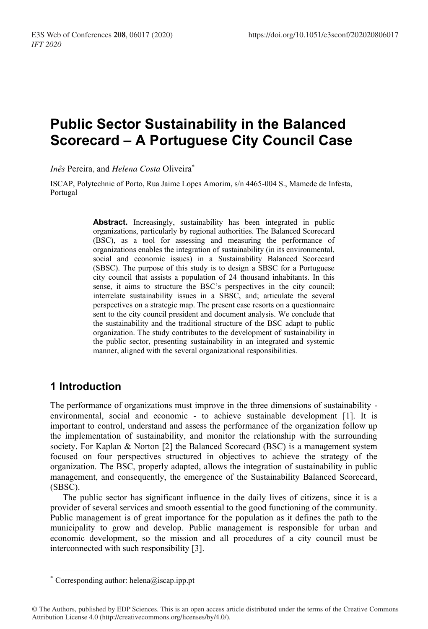# **Public Sector Sustainability in the Balanced Scorecard – A Portuguese City Council Case**

*Inês* Pereira*,* and *Helena Costa* Oliveira\*

ISCAP, Polytechnic of Porto, Rua Jaime Lopes Amorim, s/n 4465-004 S., Mamede de Infesta, Portugal

> Abstract. Increasingly, sustainability has been integrated in public organizations, particularly by regional authorities. The Balanced Scorecard (BSC), as a tool for assessing and measuring the performance of organizations enables the integration of sustainability (in its environmental, social and economic issues) in a Sustainability Balanced Scorecard (SBSC). The purpose of this study is to design a SBSC for a Portuguese city council that assists a population of 24 thousand inhabitants. In this sense, it aims to structure the BSC's perspectives in the city council; interrelate sustainability issues in a SBSC, and; articulate the several perspectives on a strategic map. The present case resorts on a questionnaire sent to the city council president and document analysis. We conclude that the sustainability and the traditional structure of the BSC adapt to public organization. The study contributes to the development of sustainability in the public sector, presenting sustainability in an integrated and systemic manner, aligned with the several organizational responsibilities.

### **1 Introduction**

The performance of organizations must improve in the three dimensions of sustainability environmental, social and economic - to achieve sustainable development [1]. It is important to control, understand and assess the performance of the organization follow up the implementation of sustainability, and monitor the relationship with the surrounding society. For Kaplan & Norton [2] the Balanced Scorecard (BSC) is a management system focused on four perspectives structured in objectives to achieve the strategy of the organization. The BSC, properly adapted, allows the integration of sustainability in public management, and consequently, the emergence of the Sustainability Balanced Scorecard, (SBSC).

The public sector has significant influence in the daily lives of citizens, since it is a provider of several services and smooth essential to the good functioning of the community. Public management is of great importance for the population as it defines the path to the municipality to grow and develop. Public management is responsible for urban and economic development, so the mission and all procedures of a city council must be interconnected with such responsibility [3].

<sup>\*</sup> Corresponding author: helena@iscap.ipp.pt

<sup>©</sup> The Authors, published by EDP Sciences. This is an open access article distributed under the terms of the Creative Commons Attribution License 4.0 (http://creativecommons.org/licenses/by/4.0/).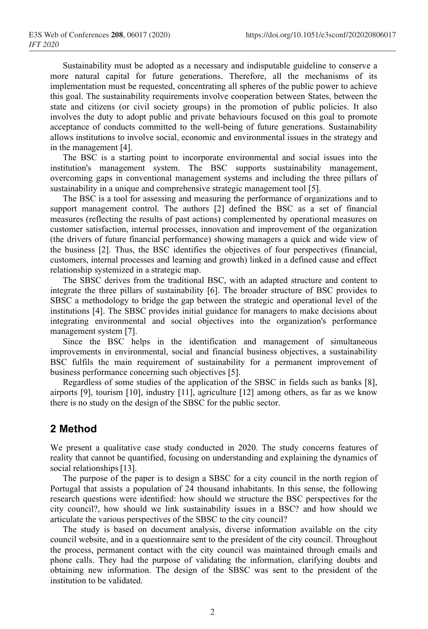Sustainability must be adopted as a necessary and indisputable guideline to conserve a more natural capital for future generations. Therefore, all the mechanisms of its implementation must be requested, concentrating all spheres of the public power to achieve this goal. The sustainability requirements involve cooperation between States, between the state and citizens (or civil society groups) in the promotion of public policies. It also involves the duty to adopt public and private behaviours focused on this goal to promote acceptance of conducts committed to the well-being of future generations. Sustainability allows institutions to involve social, economic and environmental issues in the strategy and in the management [4].

The BSC is a starting point to incorporate environmental and social issues into the institution's management system. The BSC supports sustainability management, overcoming gaps in conventional management systems and including the three pillars of sustainability in a unique and comprehensive strategic management tool [5].

The BSC is a tool for assessing and measuring the performance of organizations and to support management control. The authors [2] defined the BSC as a set of financial measures (reflecting the results of past actions) complemented by operational measures on customer satisfaction, internal processes, innovation and improvement of the organization (the drivers of future financial performance) showing managers a quick and wide view of the business [2]. Thus, the BSC identifies the objectives of four perspectives (financial, customers, internal processes and learning and growth) linked in a defined cause and effect relationship systemized in a strategic map.

The SBSC derives from the traditional BSC, with an adapted structure and content to integrate the three pillars of sustainability [6]. The broader structure of BSC provides to SBSC a methodology to bridge the gap between the strategic and operational level of the institutions [4]. The SBSC provides initial guidance for managers to make decisions about integrating environmental and social objectives into the organization's performance management system [7].

Since the BSC helps in the identification and management of simultaneous improvements in environmental, social and financial business objectives, a sustainability BSC fulfils the main requirement of sustainability for a permanent improvement of business performance concerning such objectives [5].

Regardless of some studies of the application of the SBSC in fields such as banks [8], airports [9], tourism [10], industry [11], agriculture [12] among others, as far as we know there is no study on the design of the SBSC for the public sector.

## **2 Method**

We present a qualitative case study conducted in 2020. The study concerns features of reality that cannot be quantified, focusing on understanding and explaining the dynamics of social relationships [13].

The purpose of the paper is to design a SBSC for a city council in the north region of Portugal that assists a population of 24 thousand inhabitants. In this sense, the following research questions were identified: how should we structure the BSC perspectives for the city council?, how should we link sustainability issues in a BSC? and how should we articulate the various perspectives of the SBSC to the city council?

The study is based on document analysis, diverse information available on the city council website, and in a questionnaire sent to the president of the city council. Throughout the process, permanent contact with the city council was maintained through emails and phone calls. They had the purpose of validating the information, clarifying doubts and obtaining new information. The design of the SBSC was sent to the president of the institution to be validated.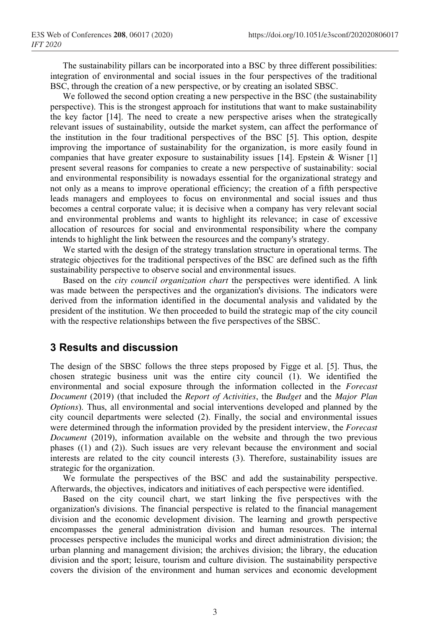The sustainability pillars can be incorporated into a BSC by three different possibilities: integration of environmental and social issues in the four perspectives of the traditional BSC, through the creation of a new perspective, or by creating an isolated SBSC.

We followed the second option creating a new perspective in the BSC (the sustainability perspective). This is the strongest approach for institutions that want to make sustainability the key factor [14]. The need to create a new perspective arises when the strategically relevant issues of sustainability, outside the market system, can affect the performance of the institution in the four traditional perspectives of the BSC [5]. This option, despite improving the importance of sustainability for the organization, is more easily found in companies that have greater exposure to sustainability issues [14]. Epstein  $&$  Wisner [1] present several reasons for companies to create a new perspective of sustainability: social and environmental responsibility is nowadays essential for the organizational strategy and not only as a means to improve operational efficiency; the creation of a fifth perspective leads managers and employees to focus on environmental and social issues and thus becomes a central corporate value; it is decisive when a company has very relevant social and environmental problems and wants to highlight its relevance; in case of excessive allocation of resources for social and environmental responsibility where the company intends to highlight the link between the resources and the company's strategy.

We started with the design of the strategy translation structure in operational terms. The strategic objectives for the traditional perspectives of the BSC are defined such as the fifth sustainability perspective to observe social and environmental issues.

Based on the *city council organization chart* the perspectives were identified. A link was made between the perspectives and the organization's divisions. The indicators were derived from the information identified in the documental analysis and validated by the president of the institution. We then proceeded to build the strategic map of the city council with the respective relationships between the five perspectives of the SBSC.

#### **3 Results and discussion**

The design of the SBSC follows the three steps proposed by Figge et al. [5]. Thus, the chosen strategic business unit was the entire city council (1). We identified the environmental and social exposure through the information collected in the *Forecast Document* (2019) (that included the *Report of Activities*, the *Budget* and the *Major Plan Options*). Thus, all environmental and social interventions developed and planned by the city council departments were selected (2). Finally, the social and environmental issues were determined through the information provided by the president interview, the *Forecast Document* (2019), information available on the website and through the two previous phases ((1) and (2)). Such issues are very relevant because the environment and social interests are related to the city council interests (3). Therefore, sustainability issues are strategic for the organization.

We formulate the perspectives of the BSC and add the sustainability perspective. Afterwards, the objectives, indicators and initiatives of each perspective were identified.

Based on the city council chart, we start linking the five perspectives with the organization's divisions. The financial perspective is related to the financial management division and the economic development division. The learning and growth perspective encompasses the general administration division and human resources. The internal processes perspective includes the municipal works and direct administration division; the urban planning and management division; the archives division; the library, the education division and the sport; leisure, tourism and culture division. The sustainability perspective covers the division of the environment and human services and economic development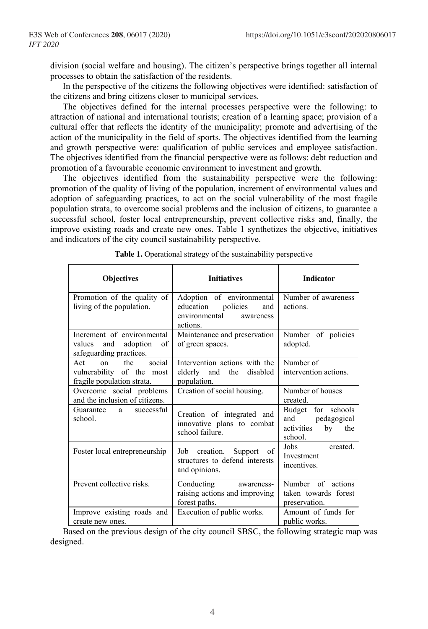division (social welfare and housing). The citizen's perspective brings together all internal processes to obtain the satisfaction of the residents.

In the perspective of the citizens the following objectives were identified: satisfaction of the citizens and bring citizens closer to municipal services.

The objectives defined for the internal processes perspective were the following: to attraction of national and international tourists; creation of a learning space; provision of a cultural offer that reflects the identity of the municipality; promote and advertising of the action of the municipality in the field of sports. The objectives identified from the learning and growth perspective were: qualification of public services and employee satisfaction. The objectives identified from the financial perspective were as follows: debt reduction and promotion of a favourable economic environment to investment and growth.

The objectives identified from the sustainability perspective were the following: promotion of the quality of living of the population, increment of environmental values and adoption of safeguarding practices, to act on the social vulnerability of the most fragile population strata, to overcome social problems and the inclusion of citizens, to guarantee a successful school, foster local entrepreneurship, prevent collective risks and, finally, the improve existing roads and create new ones. Table 1 synthetizes the objective, initiatives and indicators of the city council sustainability perspective.

| <b>Objectives</b>                                                                     | <b>Initiatives</b>                                                                                  | <b>Indicator</b>                                                         |
|---------------------------------------------------------------------------------------|-----------------------------------------------------------------------------------------------------|--------------------------------------------------------------------------|
| Promotion of the quality of<br>living of the population.                              | Adoption of environmental<br>policies<br>education<br>and<br>environmental<br>awareness<br>actions. | Number of awareness<br>actions.                                          |
| Increment of environmental<br>and adoption<br>values<br>of<br>safeguarding practices. | Maintenance and preservation<br>of green spaces.                                                    | Number of policies<br>adopted.                                           |
| social<br>the<br>Act<br>on<br>vulnerability of the most<br>fragile population strata. | Intervention actions with the<br>elderly and the<br>disabled<br>population.                         | Number of<br>intervention actions.                                       |
| Overcome social problems<br>and the inclusion of citizens.                            | Creation of social housing.                                                                         | Number of houses<br>created.                                             |
| a successful<br>Guarantee<br>school.                                                  | Creation of integrated and<br>innovative plans to combat<br>school failure.                         | Budget for schools<br>and pedagogical<br>activities<br>by the<br>school. |
| Foster local entrepreneurship                                                         | Job creation. Support of<br>structures to defend interests<br>and opinions.                         | Jobs created.<br>Investment<br>incentives.                               |
| Prevent collective risks.                                                             | Conducting<br>awareness-<br>raising actions and improving<br>forest paths.                          | Number of actions<br>taken towards forest<br>preservation.               |
| Improve existing roads and<br>create new ones.                                        | Execution of public works.                                                                          | Amount of funds for<br>public works.                                     |

**Table 1.** Operational strategy of the sustainability perspective

Based on the previous design of the city council SBSC, the following strategic map was designed.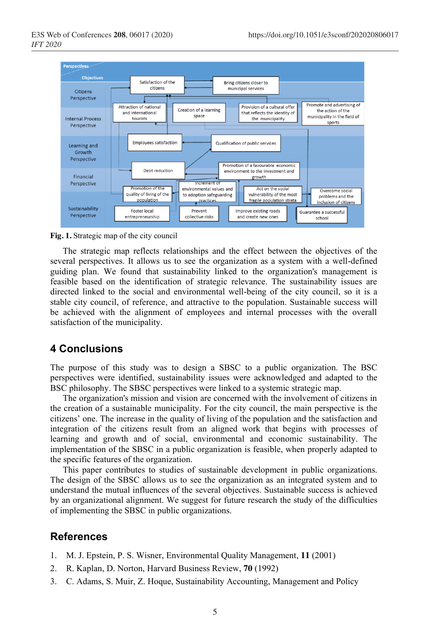

**Fig. 1.** Strategic map of the city council

The strategic map reflects relationships and the effect between the objectives of the several perspectives. It allows us to see the organization as a system with a well-defined guiding plan. We found that sustainability linked to the organization's management is feasible based on the identification of strategic relevance. The sustainability issues are directed linked to the social and environmental well-being of the city council, so it is a stable city council, of reference, and attractive to the population. Sustainable success will be achieved with the alignment of employees and internal processes with the overall satisfaction of the municipality.

## **4 Conclusions**

The purpose of this study was to design a SBSC to a public organization. The BSC perspectives were identified, sustainability issues were acknowledged and adapted to the BSC philosophy. The SBSC perspectives were linked to a systemic strategic map.

The organization's mission and vision are concerned with the involvement of citizens in the creation of a sustainable municipality. For the city council, the main perspective is the citizens' one. The increase in the quality of living of the population and the satisfaction and integration of the citizens result from an aligned work that begins with processes of learning and growth and of social, environmental and economic sustainability. The implementation of the SBSC in a public organization is feasible, when properly adapted to the specific features of the organization.

This paper contributes to studies of sustainable development in public organizations. The design of the SBSC allows us to see the organization as an integrated system and to understand the mutual influences of the several objectives. Sustainable success is achieved by an organizational alignment. We suggest for future research the study of the difficulties of implementing the SBSC in public organizations.

## **References**

- 1. M. J. Epstein, P. S. Wisner, Environmental Quality Management, **11** (2001)
- 2. R. Kaplan, D. Norton, Harvard Business Review, **70** (1992)
- 3. C. Adams, S. Muir, Z. Hoque, Sustainability Accounting, Management and Policy